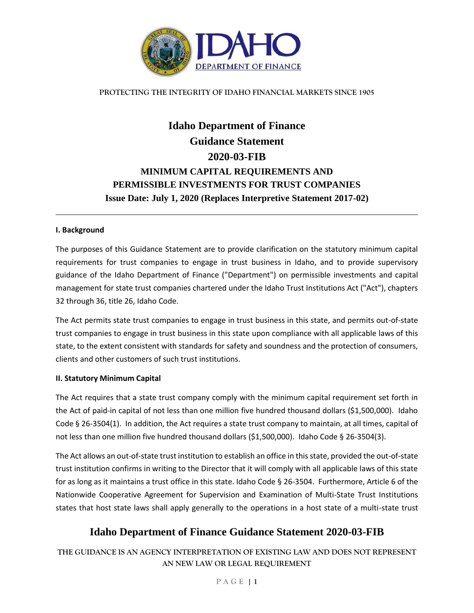

# **Idaho Department of Finance Guidance Statement 2020-03-FIB MINIMUM CAPITAL REQUIREMENTS AND PERMISSIBLE INVESTMENTS FOR TRUST COMPANIES Issue Date: July 1, 2020 (Replaces Interpretive Statement 2017-02)**

#### **I. Background**

The purposes of this Guidance Statement are to provide clarification on the statutory minimum capital requirements for trust companies to engage in trust business in Idaho, and to provide supervisory guidance of the Idaho Department of Finance ("Department") on permissible investments and capital management for state trust companies chartered under the Idaho Trust Institutions Act ("Act"), chapters 32 through 36, title 26, Idaho Code.

The Act permits state trust companies to engage in trust business in this state, and permits out-of-state trust companies to engage in trust business in this state upon compliance with all applicable laws of this state, to the extent consistent with standards for safety and soundness and the protection of consumers, clients and other customers of such trust institutions.

#### **II. Statutory Minimum Capital**

The Act requires that a state trust company comply with the minimum capital requirement set forth in the Act of paid-in capital of not less than one million five hundred thousand dollars (\$1,500,000). Idaho Code § 26-3504(1). In addition, the Act requires a state trust company to maintain, at all times, capital of not less than one million five hundred thousand dollars (\$1,500,000). Idaho Code § 26-3504(3).

The Act allows an out-of-state trust institution to establish an office in this state, provided the out-of-state trust institution confirms in writing to the Director that it will comply with all applicable laws of this state for as long as it maintains a trust office in this state. Idaho Code § 26-3504. Furthermore, Article 6 of the Nationwide Cooperative Agreement for Supervision and Examination of Multi-State Trust Institutions states that host state laws shall apply generally to the operations in a host state of a multi-state trust

# **Idaho Department of Finance Guidance Statement 2020-03-FIB**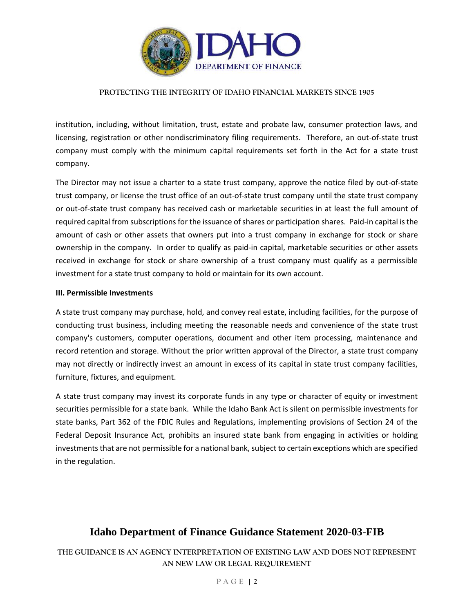

institution, including, without limitation, trust, estate and probate law, consumer protection laws, and licensing, registration or other nondiscriminatory filing requirements. Therefore, an out-of-state trust company must comply with the minimum capital requirements set forth in the Act for a state trust company.

The Director may not issue a charter to a state trust company, approve the notice filed by out-of-state trust company, or license the trust office of an out-of-state trust company until the state trust company or out-of-state trust company has received cash or marketable securities in at least the full amount of required capital from subscriptions for the issuance of shares or participation shares. Paid-in capital is the amount of cash or other assets that owners put into a trust company in exchange for stock or share ownership in the company. In order to qualify as paid-in capital, marketable securities or other assets received in exchange for stock or share ownership of a trust company must qualify as a permissible investment for a state trust company to hold or maintain for its own account.

#### **III. Permissible Investments**

A state trust company may purchase, hold, and convey real estate, including facilities, for the purpose of conducting trust business, including meeting the reasonable needs and convenience of the state trust company's customers, computer operations, document and other item processing, maintenance and record retention and storage. Without the prior written approval of the Director, a state trust company may not directly or indirectly invest an amount in excess of its capital in state trust company facilities, furniture, fixtures, and equipment.

A state trust company may invest its corporate funds in any type or character of equity or investment securities permissible for a state bank. While the Idaho Bank Act is silent on permissible investments for state banks, Part 362 of the FDIC Rules and Regulations, implementing provisions of Section 24 of the Federal Deposit Insurance Act, prohibits an insured state bank from engaging in activities or holding investments that are not permissible for a national bank, subject to certain exceptions which are specified in the regulation.

# **Idaho Department of Finance Guidance Statement 2020-03-FIB**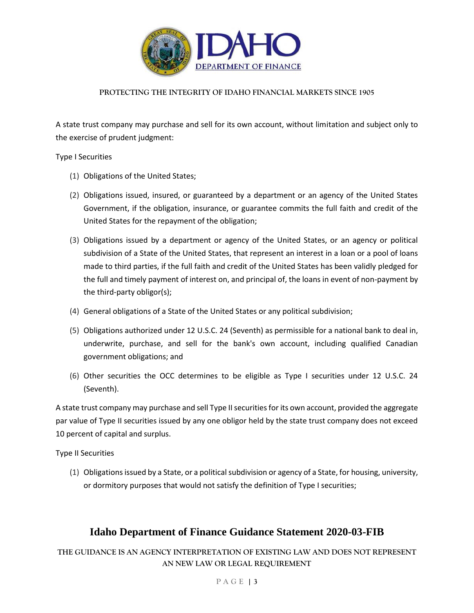

A state trust company may purchase and sell for its own account, without limitation and subject only to the exercise of prudent judgment:

Type I Securities

- (1) Obligations of the United States;
- (2) Obligations issued, insured, or guaranteed by a department or an agency of the United States Government, if the obligation, insurance, or guarantee commits the full faith and credit of the United States for the repayment of the obligation;
- (3) Obligations issued by a department or agency of the United States, or an agency or political subdivision of a State of the United States, that represent an interest in a loan or a pool of loans made to third parties, if the full faith and credit of the United States has been validly pledged for the full and timely payment of interest on, and principal of, the loans in event of non-payment by the third-party obligor(s);
- (4) General obligations of a State of the United States or any political subdivision;
- (5) Obligations authorized under 12 U.S.C. 24 (Seventh) as permissible for a national bank to deal in, underwrite, purchase, and sell for the bank's own account, including qualified Canadian government obligations; and
- (6) Other securities the OCC determines to be eligible as Type I securities under 12 U.S.C. 24 (Seventh).

A state trust company may purchase and sell Type II securities for its own account, provided the aggregate par value of Type II securities issued by any one obligor held by the state trust company does not exceed 10 percent of capital and surplus.

Type II Securities

(1) Obligations issued by a State, or a political subdivision or agency of a State, for housing, university, or dormitory purposes that would not satisfy the definition of Type I securities;

# **Idaho Department of Finance Guidance Statement 2020-03-FIB**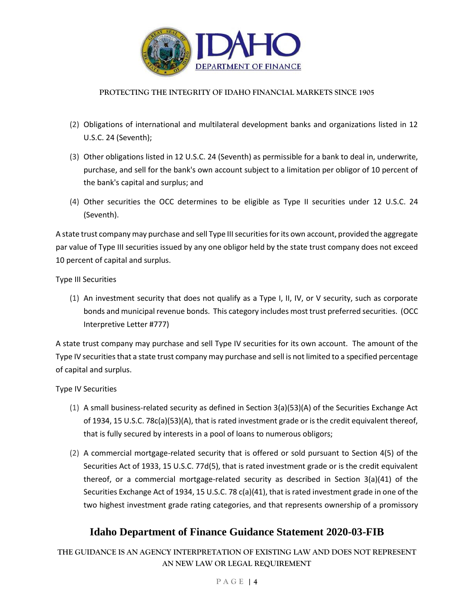

- (2) Obligations of international and multilateral development banks and organizations listed in 12 U.S.C. 24 (Seventh);
- (3) Other obligations listed in 12 U.S.C. 24 (Seventh) as permissible for a bank to deal in, underwrite, purchase, and sell for the bank's own account subject to a limitation per obligor of 10 percent of the bank's capital and surplus; and
- (4) Other securities the OCC determines to be eligible as Type II securities under 12 U.S.C. 24 (Seventh).

A state trust company may purchase and sell Type III securities for its own account, provided the aggregate par value of Type III securities issued by any one obligor held by the state trust company does not exceed 10 percent of capital and surplus.

Type III Securities

(1) An investment security that does not qualify as a Type I, II, IV, or V security, such as corporate bonds and municipal revenue bonds. This category includes most trust preferred securities. (OCC Interpretive Letter #777)

A state trust company may purchase and sell Type IV securities for its own account. The amount of the Type IV securities that a state trust company may purchase and sell is not limited to a specified percentage of capital and surplus.

Type IV Securities

- (1) A small business-related security as defined in Section 3(a)(53)(A) of the Securities Exchange Act of 1934, 15 U.S.C. 78c(a)(53)(A), that is rated investment grade or is the credit equivalent thereof, that is fully secured by interests in a pool of loans to numerous obligors;
- (2) A commercial mortgage-related security that is offered or sold pursuant to Section 4(5) of the Securities Act of 1933, 15 U.S.C. 77d(5), that is rated investment grade or is the credit equivalent thereof, or a commercial mortgage-related security as described in Section 3(a)(41) of the Securities Exchange Act of 1934, 15 U.S.C. 78 c(a)(41), that is rated investment grade in one of the two highest investment grade rating categories, and that represents ownership of a promissory

# **Idaho Department of Finance Guidance Statement 2020-03-FIB**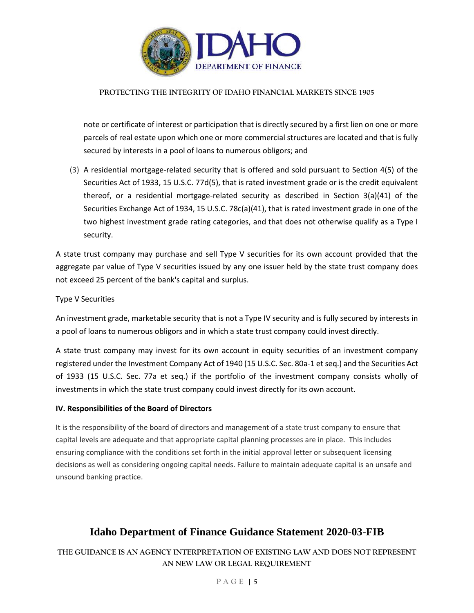

note or certificate of interest or participation that is directly secured by a first lien on one or more parcels of real estate upon which one or more commercial structures are located and that is fully secured by interests in a pool of loans to numerous obligors; and

(3) A residential mortgage-related security that is offered and sold pursuant to Section 4(5) of the Securities Act of 1933, 15 U.S.C. 77d(5), that is rated investment grade or is the credit equivalent thereof, or a residential mortgage-related security as described in Section 3(a)(41) of the Securities Exchange Act of 1934, 15 U.S.C. 78c(a)(41), that is rated investment grade in one of the two highest investment grade rating categories, and that does not otherwise qualify as a Type I security.

A state trust company may purchase and sell Type V securities for its own account provided that the aggregate par value of Type V securities issued by any one issuer held by the state trust company does not exceed 25 percent of the bank's capital and surplus.

Type V Securities

An investment grade, marketable security that is not a Type IV security and is fully secured by interests in a pool of loans to numerous obligors and in which a state trust company could invest directly.

A state trust company may invest for its own account in equity securities of an investment company registered under the Investment Company Act of 1940 (15 U.S.C. Sec. 80a-1 et seq.) and the Securities Act of 1933 (15 U.S.C. Sec. 77a et seq.) if the portfolio of the investment company consists wholly of investments in which the state trust company could invest directly for its own account.

#### **IV. Responsibilities of the Board of Directors**

It is the responsibility of the board of directors and management of a state trust company to ensure that capital levels are adequate and that appropriate capital planning processes are in place. This includes ensuring compliance with the conditions set forth in the initial approval letter or subsequent licensing decisions as well as considering ongoing capital needs. Failure to maintain adequate capital is an unsafe and unsound banking practice.

### **Idaho Department of Finance Guidance Statement 2020-03-FIB**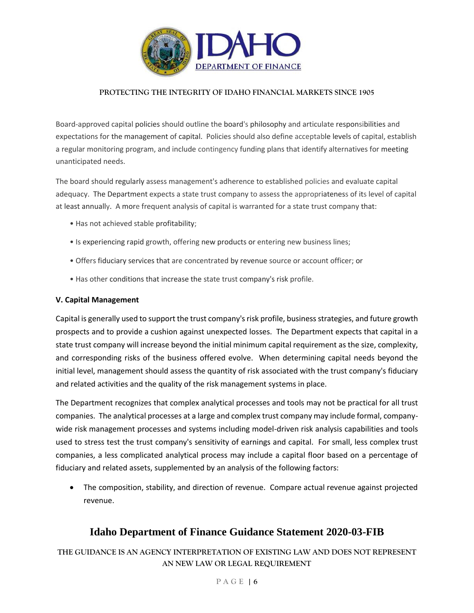

Board-approved capital policies should outline the board's philosophy and articulate responsibilities and expectations for the management of capital. Policies should also define acceptable levels of capital, establish a regular monitoring program, and include contingency funding plans that identify alternatives for meeting unanticipated needs.

The board should regularly assess management's adherence to established policies and evaluate capital adequacy. The Department expects a state trust company to assess the appropriateness of its level of capital at least annually. A more frequent analysis of capital is warranted for a state trust company that:

- Has not achieved stable profitability;
- Is experiencing rapid growth, offering new products or entering new business lines;
- Offers fiduciary services that are concentrated by revenue source or account officer; or
- Has other conditions that increase the state trust company's risk profile.

#### **V. Capital Management**

Capital is generally used to support the trust company's risk profile, business strategies, and future growth prospects and to provide a cushion against unexpected losses. The Department expects that capital in a state trust company will increase beyond the initial minimum capital requirement as the size, complexity, and corresponding risks of the business offered evolve. When determining capital needs beyond the initial level, management should assess the quantity of risk associated with the trust company's fiduciary and related activities and the quality of the risk management systems in place.

The Department recognizes that complex analytical processes and tools may not be practical for all trust companies. The analytical processes at a large and complex trust company may include formal, companywide risk management processes and systems including model-driven risk analysis capabilities and tools used to stress test the trust company's sensitivity of earnings and capital. For small, less complex trust companies, a less complicated analytical process may include a capital floor based on a percentage of fiduciary and related assets, supplemented by an analysis of the following factors:

 The composition, stability, and direction of revenue. Compare actual revenue against projected revenue.

### **Idaho Department of Finance Guidance Statement 2020-03-FIB**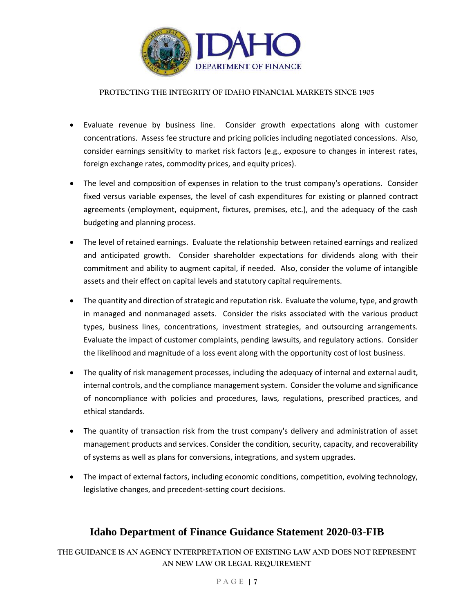

- Evaluate revenue by business line. Consider growth expectations along with customer concentrations. Assess fee structure and pricing policies including negotiated concessions. Also, consider earnings sensitivity to market risk factors (e.g., exposure to changes in interest rates, foreign exchange rates, commodity prices, and equity prices).
- The level and composition of expenses in relation to the trust company's operations. Consider fixed versus variable expenses, the level of cash expenditures for existing or planned contract agreements (employment, equipment, fixtures, premises, etc.), and the adequacy of the cash budgeting and planning process.
- The level of retained earnings. Evaluate the relationship between retained earnings and realized and anticipated growth. Consider shareholder expectations for dividends along with their commitment and ability to augment capital, if needed. Also, consider the volume of intangible assets and their effect on capital levels and statutory capital requirements.
- The quantity and direction of strategic and reputation risk. Evaluate the volume, type, and growth in managed and nonmanaged assets. Consider the risks associated with the various product types, business lines, concentrations, investment strategies, and outsourcing arrangements. Evaluate the impact of customer complaints, pending lawsuits, and regulatory actions. Consider the likelihood and magnitude of a loss event along with the opportunity cost of lost business.
- The quality of risk management processes, including the adequacy of internal and external audit, internal controls, and the compliance management system. Consider the volume and significance of noncompliance with policies and procedures, laws, regulations, prescribed practices, and ethical standards.
- The quantity of transaction risk from the trust company's delivery and administration of asset management products and services. Consider the condition, security, capacity, and recoverability of systems as well as plans for conversions, integrations, and system upgrades.
- The impact of external factors, including economic conditions, competition, evolving technology, legislative changes, and precedent-setting court decisions.

### **Idaho Department of Finance Guidance Statement 2020-03-FIB**